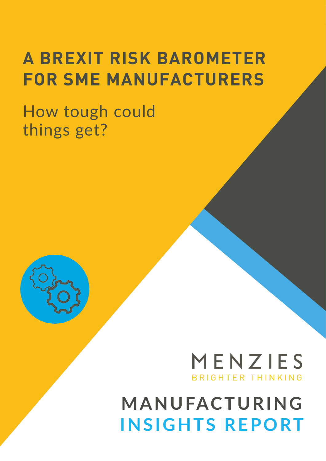# **A BREXIT RISK BAROMETER FOR SME MANUFACTURERS**

How tough could things get?



## MENZIES **BRIGHTER THINKING**

# **MANUFACTURING INSIGHTS REPORT**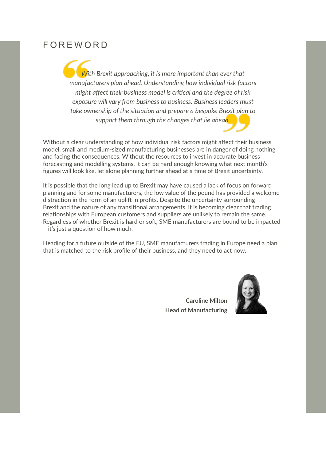#### FOREWORD

*With Brexit approaching, it is more important than ever that manufacturers plan ahead. Understanding how individual risk factors might affect their business model is critical and the degree of risk exposure will vary from business to business. Business leaders must take ownership of the situation and prepare a bespoke Brexit plan to support them through the changes that lie ahead.*

Without a clear understanding of how individual risk factors might affect their business model, small and medium-sized manufacturing businesses are in danger of doing nothing and facing the consequences. Without the resources to invest in accurate business forecasting and modelling systems, it can be hard enough knowing what next month's figures will look like, let alone planning further ahead at a time of Brexit uncertainty.

It is possible that the long lead up to Brexit may have caused a lack of focus on forward planning and for some manufacturers, the low value of the pound has provided a welcome distraction in the form of an uplift in profits. Despite the uncertainty surrounding Brexit and the nature of any transitional arrangements, it is becoming clear that trading relationships with European customers and suppliers are unlikely to remain the same. Regardless of whether Brexit is hard or soft, SME manufacturers are bound to be impacted – it's just a question of how much.

Heading for a future outside of the EU, SME manufacturers trading in Europe need a plan that is matched to the risk profile of their business, and they need to act now.

> **Caroline Milton Head of Manufacturing**

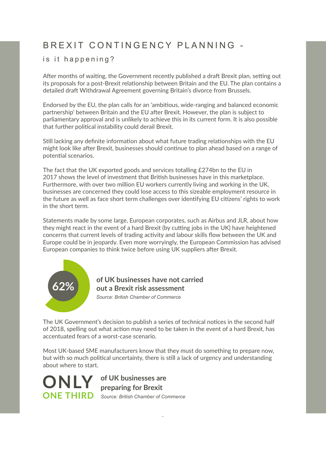## B R E X I T CON T IN G E N C Y PI AN N IN G -

#### is it happening?

After months of waiting, the Government recently published a draft Brexit plan, setting out its proposals for a post-Brexit relationship between Britain and the EU. The plan contains a detailed draft Withdrawal Agreement governing Britain's divorce from Brussels.

Endorsed by the EU, the plan calls for an 'ambitious, wide-ranging and balanced economic partnership' between Britain and the EU after Brexit. However, the plan is subject to parliamentary approval and is unlikely to achieve this in its current form. It is also possible that further political instability could derail Brexit.

Still lacking any definite information about what future trading relationships with the EU might look like after Brexit, businesses should continue to plan ahead based on a range of potential scenarios.

The fact that the UK exported goods and services totalling £274bn to the EU in 2017 shows the level of investment that British businesses have in this marketplace. Furthermore, with over two million EU workers currently living and working in the UK, businesses are concerned they could lose access to this sizeable employment resource in the future as well as face short term challenges over identifying EU citizens' rights to work in the short term.

Statements made by some large, European corporates, such as Airbus and JLR, about how they might react in the event of a hard Brexit (by cutting jobs in the UK) have heightened concerns that current levels of trading activity and labour skills flow between the UK and Europe could be in jeopardy. Even more worryingly, the European Commission has advised European companies to think twice before using UK suppliers after Brexit.



*Source: British Chamber of Commerce* **of UK businesses have not carried out a Brexit risk assessment**

The UK Government's decision to publish a series of technical notices in the second half of 2018, spelling out what action may need to be taken in the event of a hard Brexit, has accentuated fears of a worst-case scenario.

Most UK-based SME manufacturers know that they must do something to prepare now, but with so much political uncertainty, there is still a lack of urgency and understanding about where to start.

*.*

**ONLY** 

**ONE THIRD** *Source: British Chamber of Commerce* **of UK businesses are preparing for Brexit**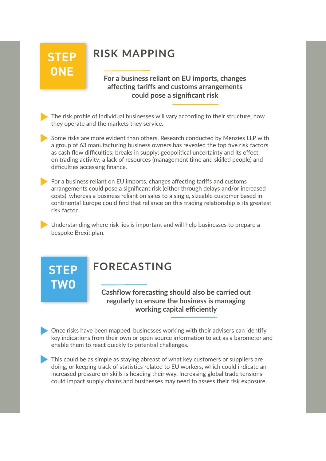## **STEP ONE**

## **RISK MAPPING**

**For a business reliant on EU imports, changes affecting tariffs and customs arrangements could pose a significant risk**

The risk profile of individual businesses will vary according to their structure, how they operate and the markets they service.

Some risks are more evident than others. Research conducted by Menzies LLP with a group of 63 manufacturing business owners has revealed the top five risk factors as cash flow difficulties; breaks in supply; geopolitical uncertainty and its effect on trading activity; a lack of resources (management time and skilled people) and difficulties accessing finance.

 $\blacktriangleright$  For a business reliant on EU imports, changes affecting tariffs and customs arrangements could pose a significant risk (either through delays and/or increased costs), whereas a business reliant on sales to a single, sizeable customer based in continental Europe could find that reliance on this trading relationship is its greatest risk factor.

Understanding where risk lies is important and will help businesses to prepare a bespoke Brexit plan.

## **STEP TWO**

## **FORECASTING**

**Cashflow forecasting should also be carried out regularly to ensure the business is managing working capital efficiently** 

Once risks have been mapped, businesses working with their advisers can identify key indications from their own or open source information to act as a barometer and enable them to react quickly to potential challenges.

This could be as simple as staying abreast of what key customers or suppliers are doing, or keeping track of statistics related to EU workers, which could indicate an increased pressure on skills is heading their way. Increasing global trade tensions could impact supply chains and businesses may need to assess their risk exposure.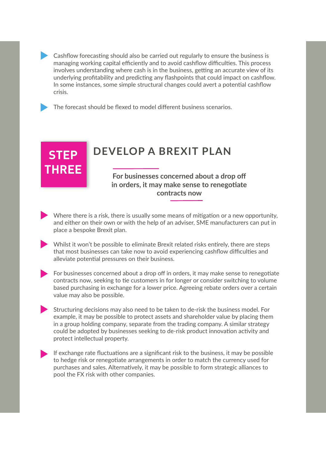Cashflow forecasting should also be carried out regularly to ensure the business is managing working capital efficiently and to avoid cashflow difficulties. This process involves understanding where cash is in the business, getting an accurate view of its underlying profitability and predicting any flashpoints that could impact on cashflow. In some instances, some simple structural changes could avert a potential cashflow crisis.

The forecast should be flexed to model different business scenarios.

**STEP** 

**THREE**

## **DEVELOP A BREXIT PLAN**

**For businesses concerned about a drop off in orders, it may make sense to renegotiate contracts now**

- $\blacktriangleright$  Where there is a risk, there is usually some means of mitigation or a new opportunity, and either on their own or with the help of an adviser, SME manufacturers can put in place a bespoke Brexit plan.
	- Whilst it won't be possible to eliminate Brexit related risks entirely, there are steps that most businesses can take now to avoid experiencing cashflow difficulties and alleviate potential pressures on their business.
- For businesses concerned about a drop off in orders, it may make sense to renegotiate contracts now, seeking to tie customers in for longer or consider switching to volume based purchasing in exchange for a lower price. Agreeing rebate orders over a certain value may also be possible.
- Structuring decisions may also need to be taken to de-risk the business model. For example, it may be possible to protect assets and shareholder value by placing them in a group holding company, separate from the trading company. A similar strategy could be adopted by businesses seeking to de-risk product innovation activity and protect intellectual property.
- If exchange rate fluctuations are a significant risk to the business, it may be possible to hedge risk or renegotiate arrangements in order to match the currency used for purchases and sales. Alternatively, it may be possible to form strategic alliances to pool the FX risk with other companies.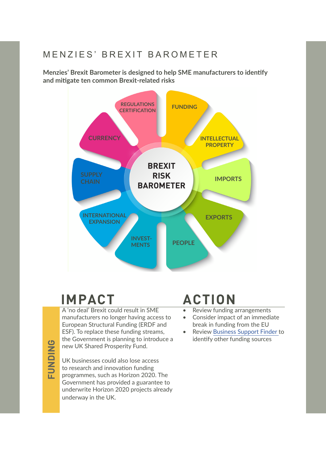### M E N Z I E S' B R E X I T B A R O M E T E R

**Menzies' Brexit Barometer is designed to help SME manufacturers to identify and mitigate ten common Brexit-related risks**



## **IMPACT ACTION**

A 'no deal' Brexit could result in SME manufacturers no longer having access to European Structural Funding (ERDF and ESF). To replace these funding streams, the Government is planning to introduce a new UK Shared Prosperity Fund.

**EUNDING FUNDING**

UK businesses could also lose access to research and innovation funding programmes, such as Horizon 2020. The Government has provided a guarantee to underwrite Horizon 2020 projects already underway in the UK.

- Review funding arrangements
- Consider impact of an immediate break in funding from the EU
- Review [Business Support Finder](https://www.gov.uk/business-finance-support ) to identify other funding sources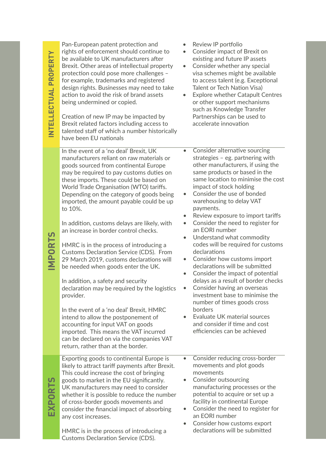Pan-European patent protection and rights of enforcement should continue to be available to UK manufacturers after Brexit. Other areas of intellectual property protection could pose more challenges – for example, trademarks and registered design rights. Businesses may need to take action to avoid the risk of brand assets being undermined or copied. Creation of new IP may be impacted by Brexit related factors including access to talented staff of which a number historically

have been EU nationals

In the event of a 'no deal' Brexit, UK manufacturers reliant on raw materials or goods sourced from continental Europe may be required to pay customs duties on these imports. These could be based on World Trade Organisation (WTO) tariffs. Depending on the category of goods being imported, the amount payable could be up to 10%.

In addition, customs delays are likely, with an increase in border control checks.

HMRC is in the process of introducing a Customs Declaration Service (CDS). From 29 March 2019, customs declarations will be needed when goods enter the UK.

In addition, a safety and security declaration may be required by the logistics provider.

In the event of a 'no deal' Brexit, HMRC intend to allow the postponement of accounting for input VAT on goods imported. This means the VAT incurred can be declared on via the companies VAT return, rather than at the border.

Exporting goods to continental Europe is likely to attract tariff payments after Brexit. This could increase the cost of bringing goods to market in the EU significantly. UK manufacturers may need to consider whether it is possible to reduce the number of cross-border goods movements and consider the financial impact of absorbing any cost increases.

HMRC is in the process of introducing a Customs Declaration Service (CDS).

- Review IP portfolio
- Consider impact of Brexit on existing and future IP assets
- Consider whether any special visa schemes might be available to access talent (e.g. Exceptional Talent or Tech Nation Visa)
- Explore whether Catapult Centres or other support mechanisms such as Knowledge Transfer Partnerships can be used to accelerate innovation
- Consider alternative sourcing strategies – eg. partnering with other manufacturers, if using the same products or based in the same location to minimise the cost impact of stock holding
- Consider the use of bonded warehousing to delay VAT payments.
- Review exposure to import tariffs
- Consider the need to register for an EORI number
- Understand what commodity codes will be required for customs declarations
- Consider how customs import declarations will be submitted
- Consider the impact of potential delays as a result of border checks
- Consider having an overseas investment base to minimise the number of times goods cross borders
- Evaluate UK material sources and consider if time and cost efficiencies can be achieved
- Consider reducing cross-border movements and plot goods movements
- Consider outsourcing manufacturing processes or the potential to acquire or set up a facility in continental Europe
- Consider the need to register for an EORI number
- Consider how customs export declarations will be submitted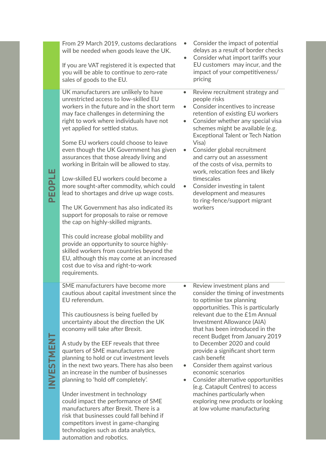|           | From 29 March 2019, customs declarations<br>will be needed when goods leave the UK.<br>If you are VAT registered it is expected that<br>you will be able to continue to zero-rate<br>sales of goods to the EU.                                                                                                                                                                                                                                                                                                                                                                                                                                                                                                                                                                                                                                                                                                                                   |           | Consider the impact of potential<br>delays as a result of border checks<br>Consider what import tariffs your<br>EU customers may incur, and the<br>impact of your competitiveness/<br>pricing                                                                                                                                                                                                                                                                                                                                                                                                    |
|-----------|--------------------------------------------------------------------------------------------------------------------------------------------------------------------------------------------------------------------------------------------------------------------------------------------------------------------------------------------------------------------------------------------------------------------------------------------------------------------------------------------------------------------------------------------------------------------------------------------------------------------------------------------------------------------------------------------------------------------------------------------------------------------------------------------------------------------------------------------------------------------------------------------------------------------------------------------------|-----------|--------------------------------------------------------------------------------------------------------------------------------------------------------------------------------------------------------------------------------------------------------------------------------------------------------------------------------------------------------------------------------------------------------------------------------------------------------------------------------------------------------------------------------------------------------------------------------------------------|
| PEOPLE    | UK manufacturers are unlikely to have<br>unrestricted access to low-skilled EU<br>workers in the future and in the short term<br>may face challenges in determining the<br>right to work where individuals have not<br>yet applied for settled status.<br>Some EU workers could choose to leave<br>even though the UK Government has given<br>assurances that those already living and<br>working in Britain will be allowed to stay.<br>Low-skilled EU workers could become a<br>more sought-after commodity, which could<br>lead to shortages and drive up wage costs.<br>The UK Government has also indicated its<br>support for proposals to raise or remove<br>the cap on highly-skilled migrants.<br>This could increase global mobility and<br>provide an opportunity to source highly-<br>skilled workers from countries beyond the<br>EU, although this may come at an increased<br>cost due to visa and right-to-work<br>requirements. | $\bullet$ | Review recruitment strategy and<br>people risks<br>Consider incentives to increase<br>retention of existing EU workers<br>Consider whether any special visa<br>schemes might be available (e.g.<br><b>Exceptional Talent or Tech Nation</b><br>Visa)<br>Consider global recruitment<br>and carry out an assessment<br>of the costs of visa, permits to<br>work, relocation fees and likely<br>timescales<br>Consider investing in talent<br>development and measures<br>to ring-fence/support migrant<br>workers                                                                                 |
| NVESTMENT | SME manufacturers have become more<br>cautious about capital investment since the<br>EU referendum.<br>This cautiousness is being fuelled by<br>uncertainty about the direction the UK<br>economy will take after Brexit.<br>A study by the EEF reveals that three<br>quarters of SME manufacturers are<br>planning to hold or cut investment levels<br>in the next two years. There has also been<br>an increase in the number of businesses<br>planning to 'hold off completely'.<br>Under investment in technology<br>could impact the performance of SME<br>manufacturers after Brexit. There is a<br>risk that businesses could fall behind if<br>competitors invest in game-changing                                                                                                                                                                                                                                                       | $\bullet$ | Review investment plans and<br>consider the timing of investments<br>to optimise tax planning<br>opportunities. This is particularly<br>relevant due to the £1m Annual<br>Investment Allowance (AIA)<br>that has been introduced in the<br>recent Budget from January 2019<br>to December 2020 and could<br>provide a significant short term<br>cash benefit<br>Consider them against various<br>economic scenarios<br>Consider alternative opportunities<br>(e.g. Catapult Centres) to access<br>machines particularly when<br>exploring new products or looking<br>at low volume manufacturing |

technologies such as data analytics,

automation and robotics.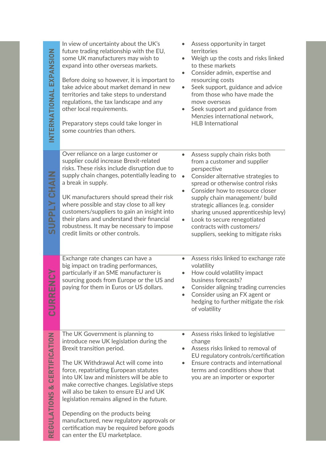**SUPPLY CHAIN** 

| NTERNATIONAL EXPANSION                         | In view of uncertainty about the UK's<br>future trading relationship with the EU,<br>some UK manufacturers may wish to<br>expand into other overseas markets.<br>Before doing so however, it is important to<br>take advice about market demand in new<br>territories and take steps to understand<br>regulations, the tax landscape and any<br>other local requirements.<br>Preparatory steps could take longer in<br>some countries than others.                                                         | $\bullet$<br>$\bullet$<br>$\bullet$<br>$\bullet$ | Assess opportunity in target<br>territories<br>Weigh up the costs and risks linked<br>to these markets<br>Consider admin, expertise and<br>resourcing costs<br>Seek support, guidance and advice<br>from those who have made the<br>move overseas<br>Seek support and guidance from<br>Menzies international network,<br><b>HLB</b> International                                                              |
|------------------------------------------------|------------------------------------------------------------------------------------------------------------------------------------------------------------------------------------------------------------------------------------------------------------------------------------------------------------------------------------------------------------------------------------------------------------------------------------------------------------------------------------------------------------|--------------------------------------------------|----------------------------------------------------------------------------------------------------------------------------------------------------------------------------------------------------------------------------------------------------------------------------------------------------------------------------------------------------------------------------------------------------------------|
| <b>SUPPLY CHAIN</b>                            | Over reliance on a large customer or<br>supplier could increase Brexit-related<br>risks. These risks include disruption due to<br>supply chain changes, potentially leading to<br>a break in supply.<br>UK manufacturers should spread their risk<br>where possible and stay close to all key<br>customers/suppliers to gain an insight into<br>their plans and understand their financial<br>robustness. It may be necessary to impose<br>credit limits or other controls.                                | $\bullet$<br>$\bullet$                           | Assess supply chain risks both<br>from a customer and supplier<br>perspective<br>Consider alternative strategies to<br>spread or otherwise control risks<br>Consider how to resource closer<br>supply chain management/ build<br>strategic alliances (e.g. consider<br>sharing unused apprenticeship levy)<br>Look to secure renegotiated<br>contracts with customers/<br>suppliers, seeking to mitigate risks |
| CURREN                                         | Exchange rate changes can have a<br>big impact on trading performances,<br>particularly if an SME manufacturer is<br>sourcing goods from Europe or the US and<br>paying for them in Euros or US dollars.                                                                                                                                                                                                                                                                                                   | $\bullet$<br>$\bullet$<br>$\bullet$              | Assess risks linked to exchange rate<br>volatility<br>How could volatility impact<br>business forecasts?<br>Consider aligning trading currencies<br>Consider using an FX agent or<br>hedging to further mitigate the risk<br>of volatility                                                                                                                                                                     |
| <b>CERTIFICATION</b><br><b>GULATIONS &amp;</b> | The UK Government is planning to<br>introduce new UK legislation during the<br>Brexit transition period.<br>The UK Withdrawal Act will come into<br>force, repatriating European statutes<br>into UK law and ministers will be able to<br>make corrective changes. Legislative steps<br>will also be taken to ensure EU and UK<br>legislation remains aligned in the future.<br>Depending on the products being<br>manufactured, new regulatory approvals or<br>certification may be required before goods | $\bullet$<br>$\bullet$<br>$\bullet$              | Assess risks linked to legislative<br>change<br>Assess risks linked to removal of<br>EU regulatory controls/certification<br>Ensure contracts and international<br>terms and conditions show that<br>you are an importer or exporter                                                                                                                                                                           |

can enter the EU marketplace.